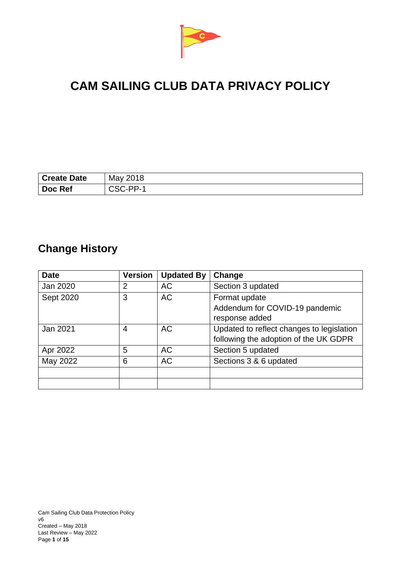

# **CAM SAILING CLUB DATA PRIVACY POLICY**

| <sup>1</sup> Create Date | May 2018   |
|--------------------------|------------|
| Doc Ref                  | $CSC.PP-1$ |

# **Change History**

| <b>Date</b> | <b>Version</b> | <b>Updated By</b> | Change                                    |
|-------------|----------------|-------------------|-------------------------------------------|
| Jan 2020    | $\overline{2}$ | <b>AC</b>         | Section 3 updated                         |
| Sept 2020   | 3              | <b>AC</b>         | Format update                             |
|             |                |                   | Addendum for COVID-19 pandemic            |
|             |                |                   | response added                            |
| Jan 2021    | 4              | <b>AC</b>         | Updated to reflect changes to legislation |
|             |                |                   | following the adoption of the UK GDPR     |
| Apr 2022    | 5              | <b>AC</b>         | Section 5 updated                         |
| May 2022    | 6              | <b>AC</b>         | Sections 3 & 6 updated                    |
|             |                |                   |                                           |
|             |                |                   |                                           |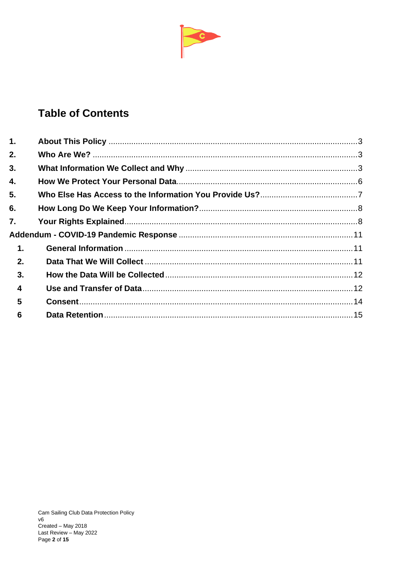

# **Table of Contents**

| $\mathbf{1}$ .          |  |
|-------------------------|--|
| 2.                      |  |
| 3.                      |  |
| 4.                      |  |
| 5.                      |  |
| 6.                      |  |
| 7.                      |  |
|                         |  |
| $\mathbf 1$ .           |  |
| 2.                      |  |
| 3.                      |  |
| $\overline{\mathbf{4}}$ |  |
| 5                       |  |
| 6                       |  |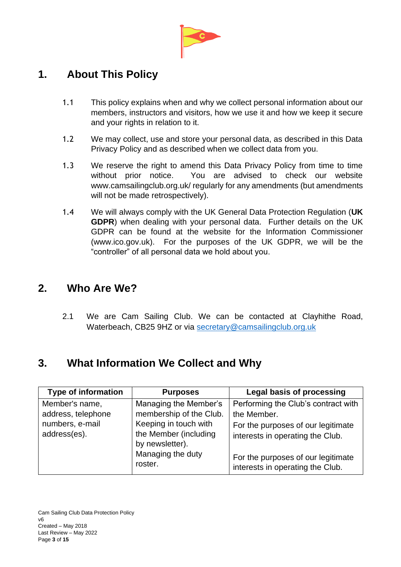

# <span id="page-2-0"></span>**1. About This Policy**

- 1.1 This policy explains when and why we collect personal information about our members, instructors and visitors, how we use it and how we keep it secure and your rights in relation to it.
- 1.2 We may collect, use and store your personal data, as described in this Data Privacy Policy and as described when we collect data from you.
- 1.3 We reserve the right to amend this Data Privacy Policy from time to time without prior notice. You are advised to check our website www.camsailingclub.org.uk/ regularly for any amendments (but amendments will not be made retrospectively).
- 1.4 We will always comply with the UK General Data Protection Regulation (**UK GDPR**) when dealing with your personal data. Further details on the UK GDPR can be found at the website for the Information Commissioner (www.ico.gov.uk). For the purposes of the UK GDPR, we will be the "controller" of all personal data we hold about you.

### <span id="page-2-1"></span>**2. Who Are We?**

2.1 We are Cam Sailing Club. We can be contacted at Clayhithe Road, Waterbeach, CB25 9HZ or via [secretary@camsailingclub.org.uk](mailto:secretary@camsailingclub.org.uk)

# <span id="page-2-2"></span>**3. What Information We Collect and Why**

| <b>Type of information</b>                                              | <b>Purposes</b>                                                                                                                                       | <b>Legal basis of processing</b>                                                                                                                                                                       |
|-------------------------------------------------------------------------|-------------------------------------------------------------------------------------------------------------------------------------------------------|--------------------------------------------------------------------------------------------------------------------------------------------------------------------------------------------------------|
| Member's name,<br>address, telephone<br>numbers, e-mail<br>address(es). | Managing the Member's<br>membership of the Club.<br>Keeping in touch with<br>the Member (including<br>by newsletter).<br>Managing the duty<br>roster. | Performing the Club's contract with<br>the Member.<br>For the purposes of our legitimate<br>interests in operating the Club.<br>For the purposes of our legitimate<br>interests in operating the Club. |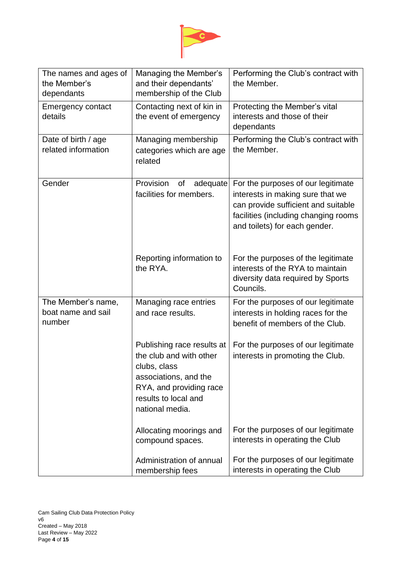

| The names and ages of<br>the Member's<br>dependants | Managing the Member's<br>and their dependants'<br>membership of the Club                                                                                             | Performing the Club's contract with<br>the Member.                                                                                                                                     |
|-----------------------------------------------------|----------------------------------------------------------------------------------------------------------------------------------------------------------------------|----------------------------------------------------------------------------------------------------------------------------------------------------------------------------------------|
| <b>Emergency contact</b><br>details                 | Contacting next of kin in<br>the event of emergency                                                                                                                  | Protecting the Member's vital<br>interests and those of their<br>dependants                                                                                                            |
| Date of birth / age<br>related information          | Managing membership<br>categories which are age<br>related                                                                                                           | Performing the Club's contract with<br>the Member.                                                                                                                                     |
| Gender                                              | Provision<br>adequate<br>of<br>facilities for members.                                                                                                               | For the purposes of our legitimate<br>interests in making sure that we<br>can provide sufficient and suitable<br>facilities (including changing rooms<br>and toilets) for each gender. |
|                                                     | Reporting information to<br>the RYA.                                                                                                                                 | For the purposes of the legitimate<br>interests of the RYA to maintain<br>diversity data required by Sports<br>Councils.                                                               |
| The Member's name,<br>boat name and sail<br>number  | Managing race entries<br>and race results.                                                                                                                           | For the purposes of our legitimate<br>interests in holding races for the<br>benefit of members of the Club.                                                                            |
|                                                     | Publishing race results at<br>the club and with other<br>clubs, class<br>associations, and the<br>RYA, and providing race<br>results to local and<br>national media. | For the purposes of our legitimate<br>interests in promoting the Club.                                                                                                                 |
|                                                     | Allocating moorings and<br>compound spaces.                                                                                                                          | For the purposes of our legitimate<br>interests in operating the Club                                                                                                                  |
|                                                     | Administration of annual<br>membership fees                                                                                                                          | For the purposes of our legitimate<br>interests in operating the Club                                                                                                                  |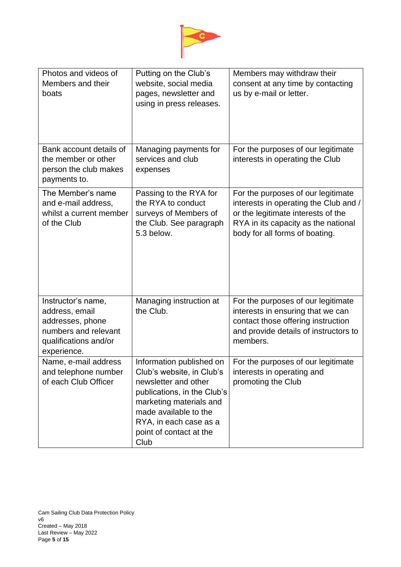

| Photos and videos of<br>Members and their<br>boats                                                                       | Putting on the Club's<br>website, social media<br>pages, newsletter and<br>using in press releases.                                                                                                                           | Members may withdraw their<br>consent at any time by contacting<br>us by e-mail or letter.                                                                                                 |
|--------------------------------------------------------------------------------------------------------------------------|-------------------------------------------------------------------------------------------------------------------------------------------------------------------------------------------------------------------------------|--------------------------------------------------------------------------------------------------------------------------------------------------------------------------------------------|
| Bank account details of<br>the member or other<br>person the club makes<br>payments to.                                  | Managing payments for<br>services and club<br>expenses                                                                                                                                                                        | For the purposes of our legitimate<br>interests in operating the Club                                                                                                                      |
| The Member's name<br>and e-mail address,<br>whilst a current member<br>of the Club                                       | Passing to the RYA for<br>the RYA to conduct<br>surveys of Members of<br>the Club. See paragraph<br>5.3 below.                                                                                                                | For the purposes of our legitimate<br>interests in operating the Club and /<br>or the legitimate interests of the<br>RYA in its capacity as the national<br>body for all forms of boating. |
| Instructor's name,<br>address, email<br>addresses, phone<br>numbers and relevant<br>qualifications and/or<br>experience. | Managing instruction at<br>the Club.                                                                                                                                                                                          | For the purposes of our legitimate<br>interests in ensuring that we can<br>contact those offering instruction<br>and provide details of instructors to<br>members.                         |
| Name, e-mail address<br>and telephone number<br>of each Club Officer                                                     | Information published on<br>Club's website, in Club's<br>newsletter and other<br>publications, in the Club's<br>marketing materials and<br>made available to the<br>RYA, in each case as a<br>point of contact at the<br>Club | For the purposes of our legitimate<br>interests in operating and<br>promoting the Club                                                                                                     |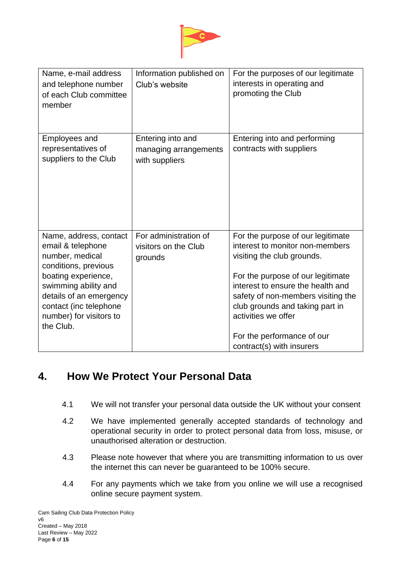

| Name, e-mail address<br>and telephone number<br>of each Club committee<br>member                                                                                                                                                   | Information published on<br>Club's website                   | For the purposes of our legitimate<br>interests in operating and<br>promoting the Club                                                                                                                                                                                                                                                  |
|------------------------------------------------------------------------------------------------------------------------------------------------------------------------------------------------------------------------------------|--------------------------------------------------------------|-----------------------------------------------------------------------------------------------------------------------------------------------------------------------------------------------------------------------------------------------------------------------------------------------------------------------------------------|
| <b>Employees and</b><br>representatives of<br>suppliers to the Club                                                                                                                                                                | Entering into and<br>managing arrangements<br>with suppliers | Entering into and performing<br>contracts with suppliers                                                                                                                                                                                                                                                                                |
| Name, address, contact<br>email & telephone<br>number, medical<br>conditions, previous<br>boating experience,<br>swimming ability and<br>details of an emergency<br>contact (inc telephone<br>number) for visitors to<br>the Club. | For administration of<br>visitors on the Club<br>grounds     | For the purpose of our legitimate<br>interest to monitor non-members<br>visiting the club grounds.<br>For the purpose of our legitimate<br>interest to ensure the health and<br>safety of non-members visiting the<br>club grounds and taking part in<br>activities we offer<br>For the performance of our<br>contract(s) with insurers |

# <span id="page-5-0"></span>**4. How We Protect Your Personal Data**

- 4.1 We will not transfer your personal data outside the UK without your consent
- 4.2 We have implemented generally accepted standards of technology and operational security in order to protect personal data from loss, misuse, or unauthorised alteration or destruction.
- 4.3 Please note however that where you are transmitting information to us over the internet this can never be guaranteed to be 100% secure.
- 4.4 For any payments which we take from you online we will use a recognised online secure payment system.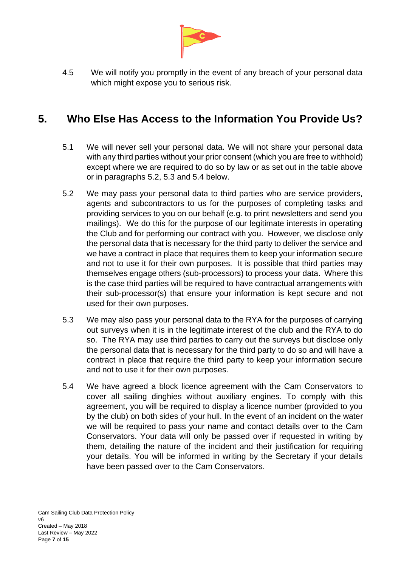

4.5 We will notify you promptly in the event of any breach of your personal data which might expose you to serious risk.

## <span id="page-6-0"></span>**5. Who Else Has Access to the Information You Provide Us?**

- 5.1 We will never sell your personal data. We will not share your personal data with any third parties without your prior consent (which you are free to withhold) except where we are required to do so by law or as set out in the table above or in paragraphs 5.2, 5.3 and 5.4 below.
- 5.2 We may pass your personal data to third parties who are service providers, agents and subcontractors to us for the purposes of completing tasks and providing services to you on our behalf (e.g. to print newsletters and send you mailings). We do this for the purpose of our legitimate interests in operating the Club and for performing our contract with you. However, we disclose only the personal data that is necessary for the third party to deliver the service and we have a contract in place that requires them to keep your information secure and not to use it for their own purposes. It is possible that third parties may themselves engage others (sub-processors) to process your data. Where this is the case third parties will be required to have contractual arrangements with their sub-processor(s) that ensure your information is kept secure and not used for their own purposes.
- 5.3 We may also pass your personal data to the RYA for the purposes of carrying out surveys when it is in the legitimate interest of the club and the RYA to do so. The RYA may use third parties to carry out the surveys but disclose only the personal data that is necessary for the third party to do so and will have a contract in place that require the third party to keep your information secure and not to use it for their own purposes.
- 5.4 We have agreed a block licence agreement with the Cam Conservators to cover all sailing dinghies without auxiliary engines. To comply with this agreement, you will be required to display a licence number (provided to you by the club) on both sides of your hull. In the event of an incident on the water we will be required to pass your name and contact details over to the Cam Conservators. Your data will only be passed over if requested in writing by them, detailing the nature of the incident and their justification for requiring your details. You will be informed in writing by the Secretary if your details have been passed over to the Cam Conservators.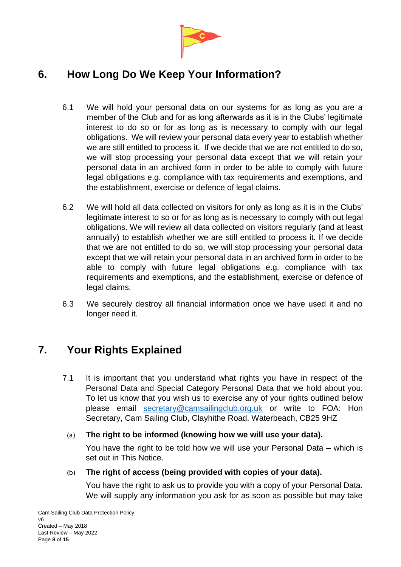

# <span id="page-7-0"></span>**6. How Long Do We Keep Your Information?**

- 6.1 We will hold your personal data on our systems for as long as you are a member of the Club and for as long afterwards as it is in the Clubs' legitimate interest to do so or for as long as is necessary to comply with our legal obligations. We will review your personal data every year to establish whether we are still entitled to process it. If we decide that we are not entitled to do so, we will stop processing your personal data except that we will retain your personal data in an archived form in order to be able to comply with future legal obligations e.g. compliance with tax requirements and exemptions, and the establishment, exercise or defence of legal claims.
- 6.2 We will hold all data collected on visitors for only as long as it is in the Clubs' legitimate interest to so or for as long as is necessary to comply with out legal obligations. We will review all data collected on visitors regularly (and at least annually) to establish whether we are still entitled to process it. If we decide that we are not entitled to do so, we will stop processing your personal data except that we will retain your personal data in an archived form in order to be able to comply with future legal obligations e.g. compliance with tax requirements and exemptions, and the establishment, exercise or defence of legal claims.
- 6.3 We securely destroy all financial information once we have used it and no longer need it.

# <span id="page-7-1"></span>**7. Your Rights Explained**

7.1 It is important that you understand what rights you have in respect of the Personal Data and Special Category Personal Data that we hold about you. To let us know that you wish us to exercise any of your rights outlined below please email [secretary@camsailingclub.org.uk](mailto:secretary@camsailingclub.org.uk) or write to FOA: Hon Secretary, Cam Sailing Club, Clayhithe Road, Waterbeach, CB25 9HZ

#### (a) **The right to be informed (knowing how we will use your data).**

You have the right to be told how we will use your Personal Data – which is set out in This Notice.

#### (b) **The right of access (being provided with copies of your data).**

You have the right to ask us to provide you with a copy of your Personal Data. We will supply any information you ask for as soon as possible but may take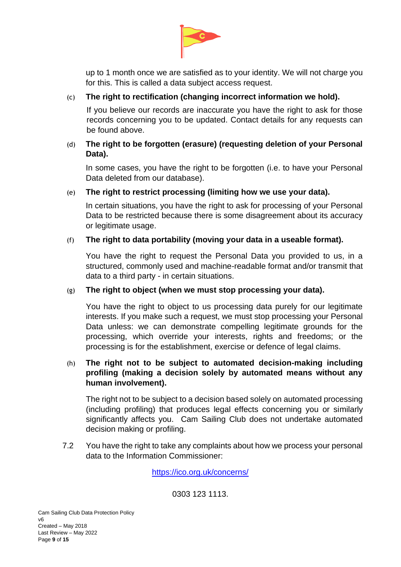

up to 1 month once we are satisfied as to your identity. We will not charge you for this. This is called a data subject access request.

#### (c) **The right to rectification (changing incorrect information we hold).**

If you believe our records are inaccurate you have the right to ask for those records concerning you to be updated. Contact details for any requests can be found above.

#### (d) **The right to be forgotten (erasure) (requesting deletion of your Personal Data).**

In some cases, you have the right to be forgotten (i.e. to have your Personal Data deleted from our database).

#### (e) **The right to restrict processing (limiting how we use your data).**

In certain situations, you have the right to ask for processing of your Personal Data to be restricted because there is some disagreement about its accuracy or legitimate usage.

#### (f) **The right to data portability (moving your data in a useable format).**

You have the right to request the Personal Data you provided to us, in a structured, commonly used and machine-readable format and/or transmit that data to a third party - in certain situations.

#### (g) **The right to object (when we must stop processing your data).**

You have the right to object to us processing data purely for our legitimate interests. If you make such a request, we must stop processing your Personal Data unless: we can demonstrate compelling legitimate grounds for the processing, which override your interests, rights and freedoms; or the processing is for the establishment, exercise or defence of legal claims.

#### (h) **The right not to be subject to automated decision-making including profiling (making a decision solely by automated means without any human involvement).**

The right not to be subject to a decision based solely on automated processing (including profiling) that produces legal effects concerning you or similarly significantly affects you. Cam Sailing Club does not undertake automated decision making or profiling.

7.2 You have the right to take any complaints about how we process your personal data to the Information Commissioner:

<https://ico.org.uk/concerns/>

0303 123 1113.

Cam Sailing Club Data Protection Policy v6 Created – May 2018 Last Review – May 2022 Page **9** of **15**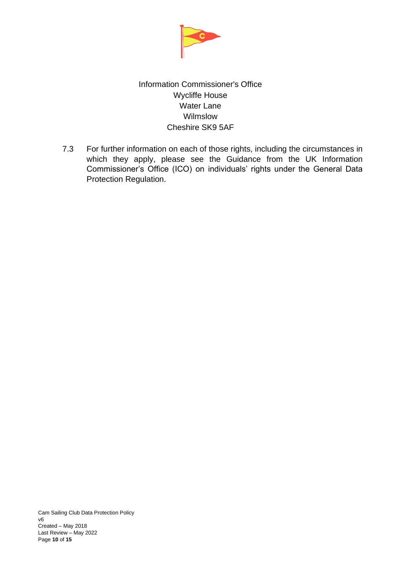

### Information Commissioner's Office Wycliffe House Water Lane Wilmslow Cheshire SK9 5AF

7.3 For further information on each of those rights, including the circumstances in which they apply, please see the Guidance from the UK Information Commissioner's Office (ICO) on individuals' rights under the General Data Protection Regulation.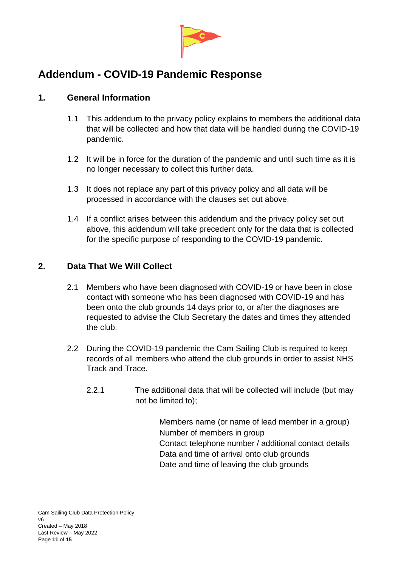

# <span id="page-10-0"></span>**Addendum - COVID-19 Pandemic Response**

### <span id="page-10-1"></span>**1. General Information**

- 1.1 This addendum to the privacy policy explains to members the additional data that will be collected and how that data will be handled during the COVID-19 pandemic.
- 1.2 It will be in force for the duration of the pandemic and until such time as it is no longer necessary to collect this further data.
- 1.3 It does not replace any part of this privacy policy and all data will be processed in accordance with the clauses set out above.
- 1.4 If a conflict arises between this addendum and the privacy policy set out above, this addendum will take precedent only for the data that is collected for the specific purpose of responding to the COVID-19 pandemic.

### <span id="page-10-2"></span>**2. Data That We Will Collect**

- 2.1 Members who have been diagnosed with COVID-19 or have been in close contact with someone who has been diagnosed with COVID-19 and has been onto the club grounds 14 days prior to, or after the diagnoses are requested to advise the Club Secretary the dates and times they attended the club.
- 2.2 During the COVID-19 pandemic the Cam Sailing Club is required to keep records of all members who attend the club grounds in order to assist NHS Track and Trace.
	- 2.2.1 The additional data that will be collected will include (but may not be limited to);

Members name (or name of lead member in a group) Number of members in group Contact telephone number / additional contact details Data and time of arrival onto club grounds Date and time of leaving the club grounds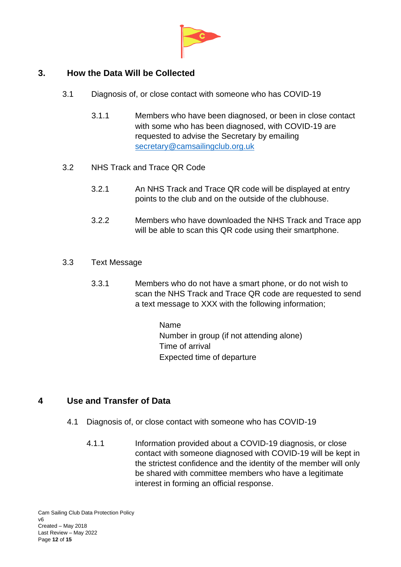

### <span id="page-11-0"></span>**3. How the Data Will be Collected**

- 3.1 Diagnosis of, or close contact with someone who has COVID-19
	- 3.1.1 Members who have been diagnosed, or been in close contact with some who has been diagnosed, with COVID-19 are requested to advise the Secretary by emailing [secretary@camsailingclub.org.uk](mailto:secretary@camsailingclub.org.uk)
- 3.2 NHS Track and Trace QR Code
	- 3.2.1 An NHS Track and Trace QR code will be displayed at entry points to the club and on the outside of the clubhouse.
	- 3.2.2 Members who have downloaded the NHS Track and Trace app will be able to scan this QR code using their smartphone.
- 3.3 Text Message
	- 3.3.1 Members who do not have a smart phone, or do not wish to scan the NHS Track and Trace QR code are requested to send a text message to XXX with the following information;

Name Number in group (if not attending alone) Time of arrival Expected time of departure

### <span id="page-11-1"></span>**4 Use and Transfer of Data**

- 4.1 Diagnosis of, or close contact with someone who has COVID-19
	- 4.1.1 Information provided about a COVID-19 diagnosis, or close contact with someone diagnosed with COVID-19 will be kept in the strictest confidence and the identity of the member will only be shared with committee members who have a legitimate interest in forming an official response.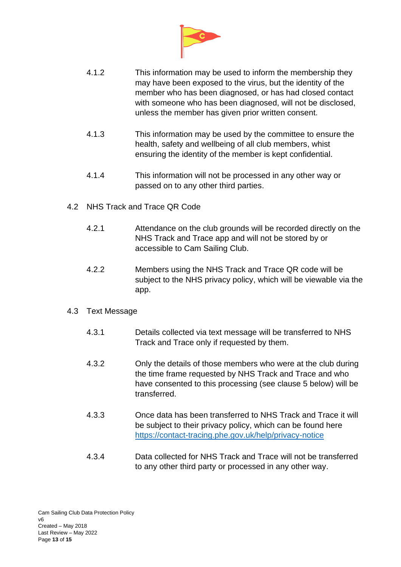

- 4.1.2 This information may be used to inform the membership they may have been exposed to the virus, but the identity of the member who has been diagnosed, or has had closed contact with someone who has been diagnosed, will not be disclosed, unless the member has given prior written consent.
- 4.1.3 This information may be used by the committee to ensure the health, safety and wellbeing of all club members, whist ensuring the identity of the member is kept confidential.
- 4.1.4 This information will not be processed in any other way or passed on to any other third parties.
- 4.2 NHS Track and Trace QR Code
	- 4.2.1 Attendance on the club grounds will be recorded directly on the NHS Track and Trace app and will not be stored by or accessible to Cam Sailing Club.
	- 4.2.2 Members using the NHS Track and Trace QR code will be subject to the NHS privacy policy, which will be viewable via the app.

#### 4.3 Text Message

- 4.3.1 Details collected via text message will be transferred to NHS Track and Trace only if requested by them.
- 4.3.2 Only the details of those members who were at the club during the time frame requested by NHS Track and Trace and who have consented to this processing (see clause 5 below) will be transferred.
- 4.3.3 Once data has been transferred to NHS Track and Trace it will be subject to their privacy policy, which can be found here <https://contact-tracing.phe.gov.uk/help/privacy-notice>
- 4.3.4 Data collected for NHS Track and Trace will not be transferred to any other third party or processed in any other way.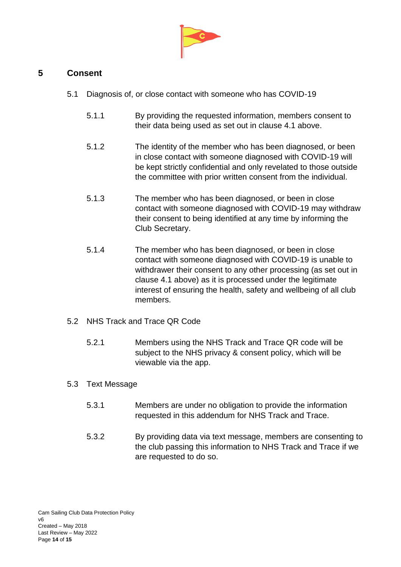

### <span id="page-13-0"></span>**5 Consent**

- 5.1 Diagnosis of, or close contact with someone who has COVID-19
	- 5.1.1 By providing the requested information, members consent to their data being used as set out in clause 4.1 above.
	- 5.1.2 The identity of the member who has been diagnosed, or been in close contact with someone diagnosed with COVID-19 will be kept strictly confidential and only revelated to those outside the committee with prior written consent from the individual.
	- 5.1.3 The member who has been diagnosed, or been in close contact with someone diagnosed with COVID-19 may withdraw their consent to being identified at any time by informing the Club Secretary.
	- 5.1.4 The member who has been diagnosed, or been in close contact with someone diagnosed with COVID-19 is unable to withdrawer their consent to any other processing (as set out in clause 4.1 above) as it is processed under the legitimate interest of ensuring the health, safety and wellbeing of all club members.
- 5.2 NHS Track and Trace QR Code
	- 5.2.1 Members using the NHS Track and Trace QR code will be subject to the NHS privacy & consent policy, which will be viewable via the app.

#### 5.3 Text Message

- 5.3.1 Members are under no obligation to provide the information requested in this addendum for NHS Track and Trace.
- 5.3.2 By providing data via text message, members are consenting to the club passing this information to NHS Track and Trace if we are requested to do so.